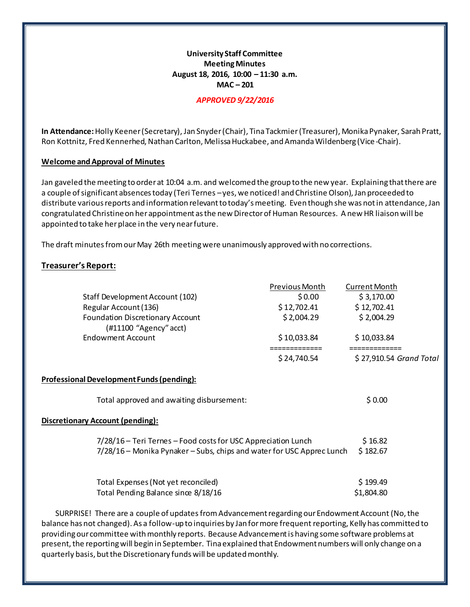# **University Staff Committee Meeting Minutes August 18, 2016, 10:00 – 11:30 a.m. MAC – 201**

### *APPROVED 9/22/2016*

**In Attendance:**Holly Keener (Secretary), Jan Snyder (Chair), Tina Tackmier (Treasurer), Monika Pynaker, Sarah Pratt, Ron Kottnitz, Fred Kennerhed, Nathan Carlton, Melissa Huckabee, and Amanda Wildenberg (Vice-Chair).

#### **Welcome and Approval of Minutes**

Jan gaveled the meeting to order at 10:04 a.m. and welcomed the group to the new year. Explaining that there are a couple of significant absences today (Teri Ternes –yes, we noticed! and Christine Olson), Jan proceeded to distribute various reports and information relevant to today's meeting. Even though she was not in attendance, Jan congratulated Christine on her appointment as the new Director of Human Resources. A new HR liaison will be appointed to take her place in the very near future.

The draft minutes from our May 26th meeting were unanimously approved with no corrections.

### **Treasurer's Report:**

|                                                                       | Previous Month | <b>Current Month</b>    |
|-----------------------------------------------------------------------|----------------|-------------------------|
| Staff Development Account (102)                                       | \$0.00         | \$3,170.00              |
| Regular Account (136)                                                 | \$12,702.41    | \$12,702.41             |
| <b>Foundation Discretionary Account</b><br>(#11100 "Agency" acct)     | \$2,004.29     | \$2,004.29              |
| <b>Endowment Account</b>                                              | \$10,033.84    | \$10,033.84             |
|                                                                       | \$24,740.54    | \$27,910.54 Grand Total |
| <b>Professional Development Funds (pending):</b>                      |                |                         |
| Total approved and awaiting disbursement:                             |                | \$0.00                  |
| <b>Discretionary Account (pending):</b>                               |                |                         |
| 7/28/16 – Teri Ternes – Food costs for USC Appreciation Lunch         |                | \$16.82                 |
| 7/28/16 – Monika Pynaker – Subs, chips and water for USC Apprec Lunch |                | \$182.67                |
| Total Expenses (Not yet reconciled)                                   |                | \$199.49                |
| Total Pending Balance since 8/18/16                                   |                | \$1,804.80              |

SURPRISE! There are a couple of updates fromAdvancement regarding our Endowment Account (No, the balance has not changed). As a follow-up to inquiries by Jan for more frequent reporting, Kelly has committed to providing our committee with monthly reports. Because Advancement is having some software problems at present, the reporting will begin in September. Tina explained that Endowment numbers will only change on a quarterly basis, but the Discretionary funds will be updated monthly.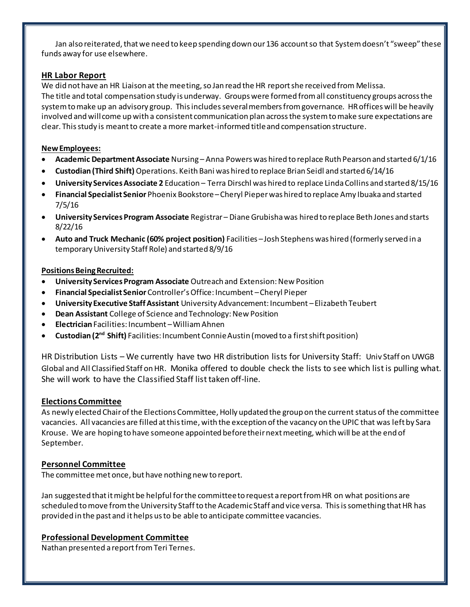Jan also reiterated, that we need to keep spending down our 136 account so that System doesn't "sweep" these funds away for use elsewhere.

# **HR Labor Report**

We did not have an HR Liaison at the meeting, so Jan read the HR report she received from Melissa. The title and total compensation study is underway. Groups were formed from all constituency groups across the system to make up an advisory group. This includes several members from governance. HR offices will be heavily involved and will come up with a consistent communication plan across the system to make sure expectations are clear. This study is meant to create a more market-informed title and compensation structure.

## **New Employees:**

- **Academic Department Associate** Nursing Anna Powers was hired to replace Ruth Pearson and started 6/1/16
- **Custodian (Third Shift)** Operations. Keith Bani was hired to replace Brian Seidl and started 6/14/16
- **University Services Associate 2** Education Terra Dirschl was hired to replace Linda Collins and started 8/15/16
- **Financial Specialist Senior** Phoenix Bookstore –Cheryl Pieper was hired to replace Amy Ibuaka and started 7/5/16
- **University Services Program Associate** Registrar Diane Grubisha was hired to replace Beth Jones and starts 8/22/16
- **Auto and Truck Mechanic (60% project position)** Facilities –Josh Stephens was hired (formerly served in a temporary University Staff Role) and started 8/9/16

### **Positions Being Recruited:**

- **University Services Program Associate** Outreach and Extension: New Position
- **Financial Specialist Senior** Controller's Office: Incumbent –Cheryl Pieper
- **University Executive Staff Assistant** University Advancement: Incumbent –Elizabeth Teubert
- **Dean Assistant** College of Science and Technology: New Position
- **Electrician** Facilities: Incumbent –William Ahnen
- **Custodian (2nd Shift)** Facilities: Incumbent Connie Austin (moved to a first shift position)

HR Distribution Lists – We currently have two HR distribution lists for University Staff: Univ Staff on UWGB Global and All Classified Staff on HR. Monika offered to double check the lists to see which list is pulling what. She will work to have the Classified Staff list taken off-line.

# **Elections Committee**

As newly elected Chair of the Elections Committee, Holly updated the group on the current status of the committee vacancies. All vacancies are filled at this time, with the exception of the vacancy on the UPIC that was left by Sara Krouse. We are hoping to have someone appointed before their next meeting, which will be at the end of September.

# **Personnel Committee**

The committee met once, but have nothing new to report.

Jan suggested that it might be helpful for the committee to request a report from HR on what positions are scheduled to move from the University Staff to the Academic Staff and vice versa. This is something that HR has provided in the past and it helps us to be able to anticipate committee vacancies.

# **Professional Development Committee**

Nathan presented a report from Teri Ternes.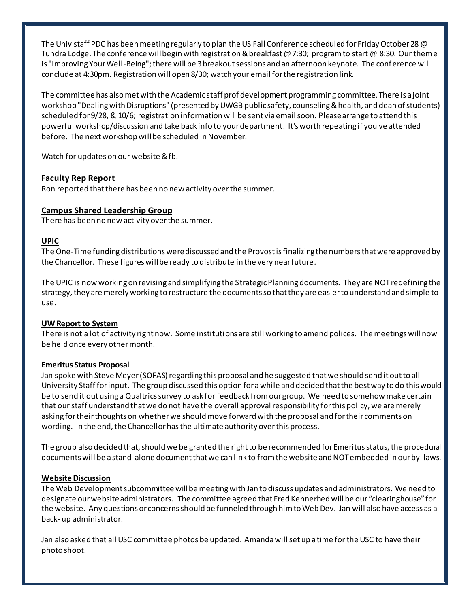The Univ staff PDC has been meeting regularly to plan the US Fall Conference scheduled for Friday October 28 @ Tundra Lodge. The conference will begin with registration & breakfast @ 7:30; program to start @ 8:30. Our theme is "Improving Your Well-Being"; there will be 3 breakout sessions and an afternoon keynote. The conference will conclude at 4:30pm. Registration will open 8/30; watch your email for the registration link.

The committee has also met with the Academic staff prof development programming committee. There is a joint workshop "Dealing with Disruptions" (presented by UWGB public safety, counseling & health, and dean of students) scheduled for 9/28, & 10/6; registration information will be sent via email soon. Please arrange to attend this powerful workshop/discussion and take back info to your department. It's worth repeating if you've attended before. The next workshop will be scheduled in November.

Watch for updates on our website & fb.

### **Faculty Rep Report**

Ron reported that there has been no new activity over the summer.

### **Campus Shared Leadership Group**

There has been no new activity over the summer.

### **UPIC**

The One-Time funding distributions were discussed and the Provost is finalizing the numbers that were approved by the Chancellor. These figures will be ready to distribute in the very near future.

The UPIC is now working on revising and simplifying the Strategic Planning documents. They are NOT redefining the strategy, they are merely working to restructure the documents so that they are easier to understand and simple to use.

### **UW Report to System**

There is not a lot of activity right now. Some institutions are still working to amend polices. The meetings will now be held once every other month.

### **Emeritus Status Proposal**

Jan spoke with Steve Meyer (SOFAS) regarding this proposal and he suggested that we should send it out to all University Staff for input. The group discussed this option for a while and decided that the best way to do this would be to send it out using a Qualtrics survey to ask for feedback from our group. We need to somehow make certain that our staff understand that we do not have the overall approval responsibility for this policy, we are merely asking for their thoughts on whether we should move forward with the proposal and for their comments on wording. In the end, the Chancellor has the ultimate authority over this process.

The group also decided that, should we be granted the right to be recommended for Emeritus status, the procedural documents will be a stand-alone document that we can link to from the website and NOT embedded in our by-laws.

### **Website Discussion**

The Web Development subcommittee will be meeting with Jan to discuss updates and administrators. We need to designate our website administrators. The committee agreed that Fred Kennerhed will be our "clearinghouse" for the website. Any questions or concerns should be funneled through him to Web Dev. Jan will also have access as a back- up administrator.

Jan also asked that all USC committee photos be updated. Amanda will set up a time for the USC to have their photo shoot.